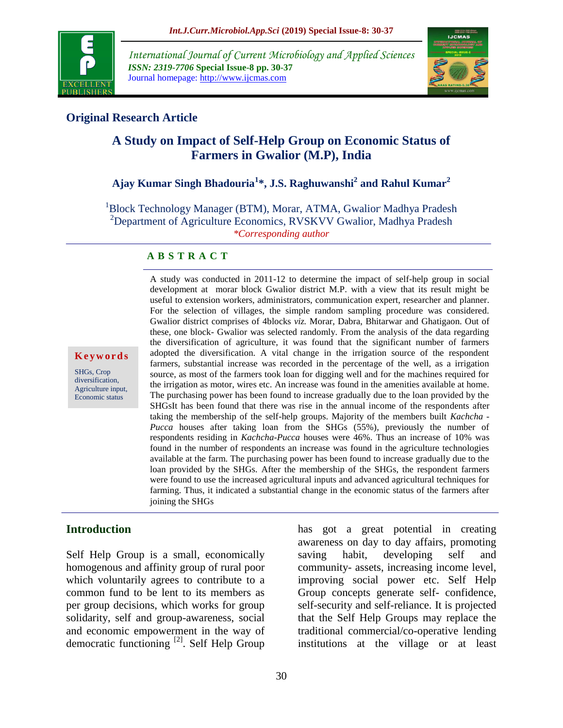

*International Journal of Current Microbiology and Applied Sciences ISSN: 2319-7706* **Special Issue-8 pp. 30-37** Journal homepage: http://www.ijcmas.com



## **Original Research Article**

# **A Study on Impact of Self-Help Group on Economic Status of Farmers in Gwalior (M.P), India**

# **Ajay Kumar Singh Bhadouria<sup>1</sup> \*, J.S. Raghuwanshi<sup>2</sup> and Rahul Kumar<sup>2</sup>**

<sup>1</sup>Block Technology Manager (BTM), Morar, ATMA, Gwalior Madhya Pradesh <sup>2</sup>Department of Agriculture Economics, RVSKVV Gwalior, Madhya Pradesh *\*Corresponding author*

#### **A B S T R A C T**

**K e y w o r d s**

SHGs, Crop diversification, Agriculture input, Economic status

A study was conducted in 2011-12 to determine the impact of self-help group in social development at morar block Gwalior district M.P. with a view that its result might be useful to extension workers, administrators, communication expert, researcher and planner. For the selection of villages, the simple random sampling procedure was considered. Gwalior district comprises of 4blocks *viz.* Morar, Dabra, Bhitarwar and Ghatigaon. Out of these, one block- Gwalior was selected randomly. From the analysis of the data regarding the diversification of agriculture, it was found that the significant number of farmers adopted the diversification. A vital change in the irrigation source of the respondent farmers, substantial increase was recorded in the percentage of the well, as a irrigation source, as most of the farmers took loan for digging well and for the machines required for the irrigation as motor, wires etc. An increase was found in the amenities available at home. The purchasing power has been found to increase gradually due to the loan provided by the SHGsIt has been found that there was rise in the annual income of the respondents after taking the membership of the self-help groups. Majority of the members built *Kachcha* - *Pucca* houses after taking loan from the SHGs (55%), previously the number of respondents residing in *Kachcha*-*Pucca* houses were 46%. Thus an increase of 10% was found in the number of respondents an increase was found in the agriculture technologies available at the farm. The purchasing power has been found to increase gradually due to the loan provided by the SHGs. After the membership of the SHGs, the respondent farmers were found to use the increased agricultural inputs and advanced agricultural techniques for farming. Thus, it indicated a substantial change in the economic status of the farmers after joining the SHGs

## **Introduction**

Self Help Group is a small, economically homogenous and affinity group of rural poor which voluntarily agrees to contribute to a common fund to be lent to its members as per group decisions, which works for group solidarity, self and group-awareness, social and economic empowerment in the way of democratic functioning [2]. Self Help Group has got a great potential in creating awareness on day to day affairs, promoting saving habit, developing self and community- assets, increasing income level, improving social power etc. Self Help Group concepts generate self- confidence, self-security and self-reliance. It is projected that the Self Help Groups may replace the traditional commercial/co-operative lending institutions at the village or at least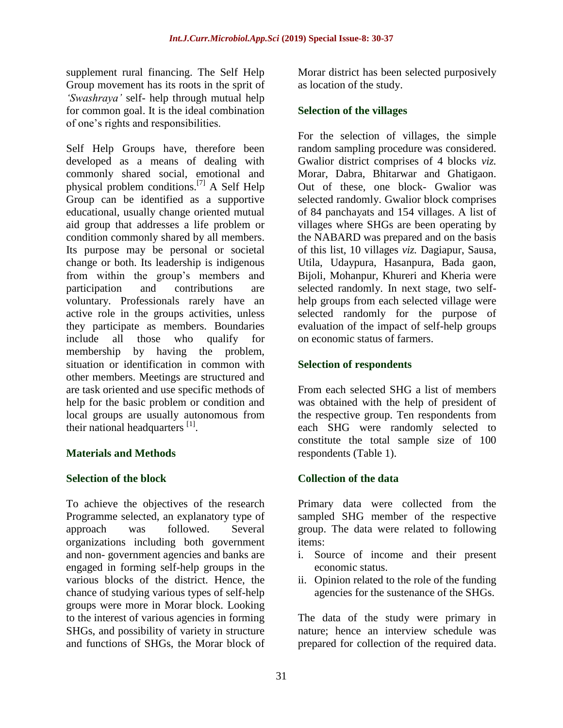supplement rural financing. The Self Help Group movement has its roots in the sprit of *'Swashraya'* self- help through mutual help for common goal. It is the ideal combination of one's rights and responsibilities.

Self Help Groups have, therefore been developed as a means of dealing with commonly shared social, emotional and physical problem conditions.[7] A Self Help Group can be identified as a supportive educational, usually change oriented mutual aid group that addresses a life problem or condition commonly shared by all members. Its purpose may be personal or societal change or both. Its leadership is indigenous from within the group's members and participation and contributions are voluntary. Professionals rarely have an active role in the groups activities, unless they participate as members. Boundaries include all those who qualify for membership by having the problem, situation or identification in common with other members. Meetings are structured and are task oriented and use specific methods of help for the basic problem or condition and local groups are usually autonomous from their national headquarters  $^{[1]}$ .

## **Materials and Methods**

#### **Selection of the block**

To achieve the objectives of the research Programme selected, an explanatory type of approach was followed. Several organizations including both government and non- government agencies and banks are engaged in forming self-help groups in the various blocks of the district. Hence, the chance of studying various types of self-help groups were more in Morar block. Looking to the interest of various agencies in forming SHGs, and possibility of variety in structure and functions of SHGs, the Morar block of

Morar district has been selected purposively as location of the study.

#### **Selection of the villages**

For the selection of villages, the simple random sampling procedure was considered. Gwalior district comprises of 4 blocks *viz.* Morar, Dabra, Bhitarwar and Ghatigaon. Out of these, one block- Gwalior was selected randomly. Gwalior block comprises of 84 panchayats and 154 villages. A list of villages where SHGs are been operating by the NABARD was prepared and on the basis of this list, 10 villages *viz.* Dagiapur, Sausa, Utila, Udaypura, Hasanpura, Bada gaon, Bijoli, Mohanpur, Khureri and Kheria were selected randomly. In next stage, two selfhelp groups from each selected village were selected randomly for the purpose of evaluation of the impact of self-help groups on economic status of farmers.

#### **Selection of respondents**

From each selected SHG a list of members was obtained with the help of president of the respective group. Ten respondents from each SHG were randomly selected to constitute the total sample size of 100 respondents (Table 1).

## **Collection of the data**

Primary data were collected from the sampled SHG member of the respective group. The data were related to following items:

- i. Source of income and their present economic status.
- ii. Opinion related to the role of the funding agencies for the sustenance of the SHGs.

The data of the study were primary in nature; hence an interview schedule was prepared for collection of the required data.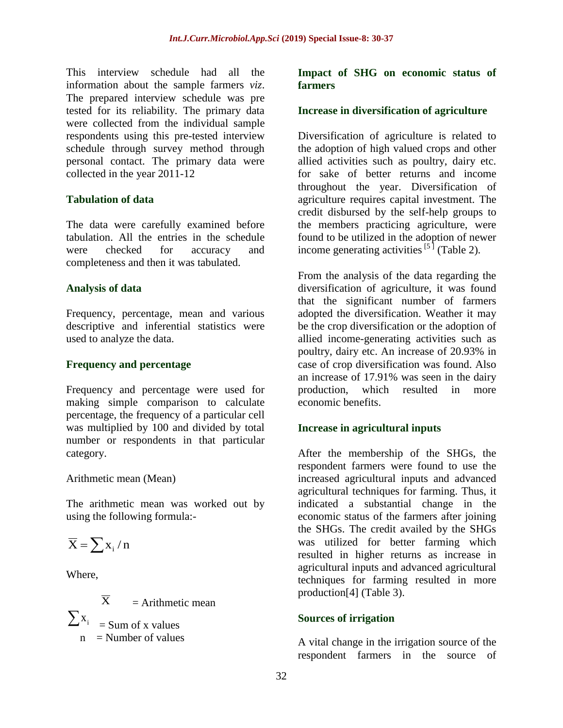This interview schedule had all the information about the sample farmers *viz*. The prepared interview schedule was pre tested for its reliability. The primary data were collected from the individual sample respondents using this pre-tested interview schedule through survey method through personal contact. The primary data were collected in the year 2011-12

## **Tabulation of data**

The data were carefully examined before tabulation. All the entries in the schedule were checked for accuracy and completeness and then it was tabulated.

#### **Analysis of data**

Frequency, percentage, mean and various descriptive and inferential statistics were used to analyze the data.

#### **Frequency and percentage**

Frequency and percentage were used for making simple comparison to calculate percentage, the frequency of a particular cell was multiplied by 100 and divided by total number or respondents in that particular category.

#### Arithmetic mean (Mean)

The arithmetic mean was worked out by using the following formula:-

$$
\overline{\mathbf{X}}=\sum x_i\,/\,n
$$

Where,

 $\overline{\mathbf{X}}$  $=$  Arithmetic mean  $\sum x_i$  = Sum of x values  $n =$  Number of values

#### **Impact of SHG on economic status of farmers**

## **Increase in diversification of agriculture**

Diversification of agriculture is related to the adoption of high valued crops and other allied activities such as poultry, dairy etc. for sake of better returns and income throughout the year. Diversification of agriculture requires capital investment. The credit disbursed by the self-help groups to the members practicing agriculture, were found to be utilized in the adoption of newer income generating activities  $[5]$  (Table 2).

From the analysis of the data regarding the diversification of agriculture, it was found that the significant number of farmers adopted the diversification. Weather it may be the crop diversification or the adoption of allied income-generating activities such as poultry, dairy etc. An increase of 20.93% in case of crop diversification was found. Also an increase of 17.91% was seen in the dairy production, which resulted in more economic benefits.

## **Increase in agricultural inputs**

After the membership of the SHGs, the respondent farmers were found to use the increased agricultural inputs and advanced agricultural techniques for farming. Thus, it indicated a substantial change in the economic status of the farmers after joining the SHGs. The credit availed by the SHGs was utilized for better farming which resulted in higher returns as increase in agricultural inputs and advanced agricultural techniques for farming resulted in more production[4] (Table 3).

## **Sources of irrigation**

A vital change in the irrigation source of the respondent farmers in the source of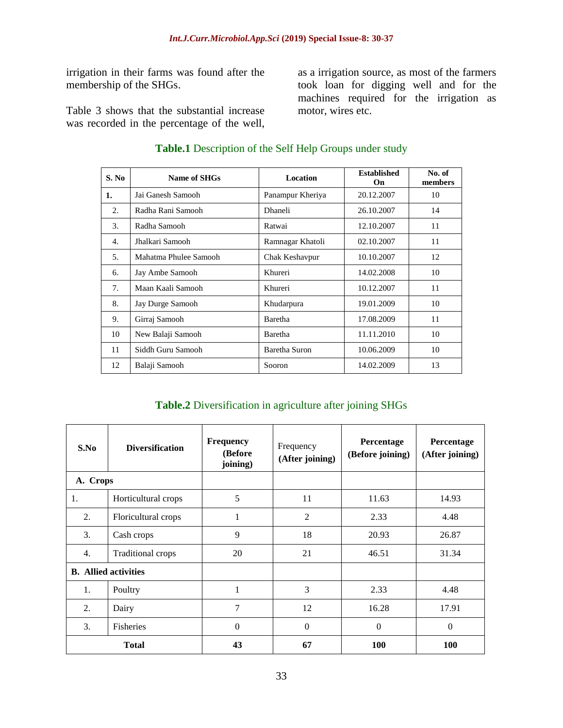irrigation in their farms was found after the membership of the SHGs.

Table 3 shows that the substantial increase was recorded in the percentage of the well,

as a irrigation source, as most of the farmers took loan for digging well and for the machines required for the irrigation as motor, wires etc.

**S. No Name of SHGs Location Established On No. of members 1.** Jai Ganesh Samooh Panampur Kheriya 20.12.2007 10 2. Radha Rani Samooh | Dhaneli 26.10.2007 | 14 3. Radha Samooh Ratwai 12.10.2007 11 4. Jhalkari Samooh Ramnagar Khatoli 02.10.2007 11 5. Mahatma Phulee Samooh (Chak Keshavpur 10.10.2007 12 6. Jay Ambe Samooh Khureri 14.02.2008 10 7. | Maan Kaali Samooh | Khureri | 10.12.2007 | 11 8. Jay Durge Samooh Khudarpura 19.01.2009 10 9. Girraj Samooh Baretha 17.08.2009 11 10 New Balaji Samooh Baretha 11.11.2010 10 11 | Siddh Guru Samooh | Baretha Suron | 10.06.2009 | 10 12 Balaji Samooh Sooron 14.02.2009 13

#### **Table.1** Description of the Self Help Groups under study

#### **Table.2** Diversification in agriculture after joining SHGs

| S.No                        | <b>Diversification</b>   | <b>Frequency</b><br>(Before<br>joining) | Frequency<br>(After joining) | Percentage<br>(Before joining) | Percentage<br>(After joining) |
|-----------------------------|--------------------------|-----------------------------------------|------------------------------|--------------------------------|-------------------------------|
| A. Crops                    |                          |                                         |                              |                                |                               |
| 1.                          | Horticultural crops      | 5                                       | 11                           | 11.63                          | 14.93                         |
| 2.                          | Floricultural crops      | 1                                       | $\overline{2}$               | 2.33                           | 4.48                          |
| 3.                          | Cash crops               | 9                                       | 18                           | 20.93                          | 26.87                         |
| 4.                          | <b>Traditional crops</b> | 20                                      | 21                           | 46.51                          | 31.34                         |
| <b>B.</b> Allied activities |                          |                                         |                              |                                |                               |
| 1.                          | Poultry                  | 1                                       | 3                            | 2.33                           | 4.48                          |
| 2.                          | Dairy                    | $\overline{7}$                          | 12                           | 16.28                          | 17.91                         |
| 3.                          | Fisheries                | $\boldsymbol{0}$                        | $\Omega$                     | $\mathbf{0}$                   | $\theta$                      |
| <b>Total</b>                |                          | 43                                      | 67                           | <b>100</b>                     | <b>100</b>                    |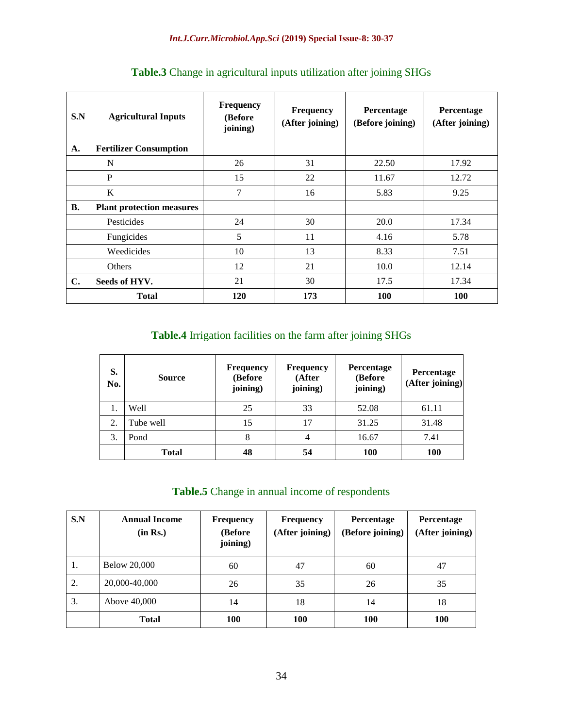| S.N            | <b>Agricultural Inputs</b>       | <b>Frequency</b><br>(Before)<br>joining) | <b>Frequency</b><br>(After joining) | Percentage<br>(Before joining) | Percentage<br>(After joining) |
|----------------|----------------------------------|------------------------------------------|-------------------------------------|--------------------------------|-------------------------------|
| A.             | <b>Fertilizer Consumption</b>    |                                          |                                     |                                |                               |
|                | N                                | 26                                       | 31                                  | 22.50                          | 17.92                         |
|                | P                                | 15                                       | 22                                  | 11.67                          | 12.72                         |
|                | K                                | 7                                        | 16                                  | 5.83                           | 9.25                          |
| <b>B.</b>      | <b>Plant protection measures</b> |                                          |                                     |                                |                               |
|                | Pesticides                       | 24                                       | 30                                  | 20.0                           | 17.34                         |
|                | Fungicides                       | 5                                        | 11                                  | 4.16                           | 5.78                          |
|                | Weedicides                       | 10                                       | 13                                  | 8.33                           | 7.51                          |
|                | <b>Others</b>                    | 12                                       | 21                                  | 10.0                           | 12.14                         |
| $\mathbf{C}$ . | Seeds of HYV.                    | 21                                       | 30                                  | 17.5                           | 17.34                         |
|                | <b>Total</b>                     | <b>120</b>                               | 173                                 | <b>100</b>                     | <b>100</b>                    |

# **Table.3** Change in agricultural inputs utilization after joining SHGs

# **Table.4** Irrigation facilities on the farm after joining SHGs

| S.<br>No. | <b>Source</b> | <b>Frequency</b><br>(Before<br>joining) | <b>Frequency</b><br>(After<br>joining) | Percentage<br>(Before<br>joining) | Percentage<br>(After joining) |
|-----------|---------------|-----------------------------------------|----------------------------------------|-----------------------------------|-------------------------------|
| 1.        | Well          | 25                                      | 33                                     | 52.08                             | 61.11                         |
| 2.        | Tube well     | 15                                      | 17                                     | 31.25                             | 31.48                         |
| 3.        | Pond          | 8                                       | $\overline{4}$                         | 16.67                             | 7.41                          |
|           | <b>Total</b>  | 48                                      | 54                                     | 100                               | 100                           |

## **Table.5** Change in annual income of respondents

| S.N | <b>Annual Income</b><br>(in Rs.) | <b>Frequency</b><br>(Before)<br>joining) | <b>Frequency</b><br>(After joining) | <b>Percentage</b><br>(Before joining) | Percentage<br>(After joining) |
|-----|----------------------------------|------------------------------------------|-------------------------------------|---------------------------------------|-------------------------------|
| 1.  | <b>Below 20,000</b>              | 60                                       | 47                                  | 60                                    | 47                            |
| 2.  | 20,000-40,000                    | 26                                       | 35                                  | 26                                    | 35                            |
| 3.  | Above 40,000                     | 14                                       | 18                                  | 14                                    | 18                            |
|     | <b>Total</b>                     | <b>100</b>                               | <b>100</b>                          | <b>100</b>                            | 100                           |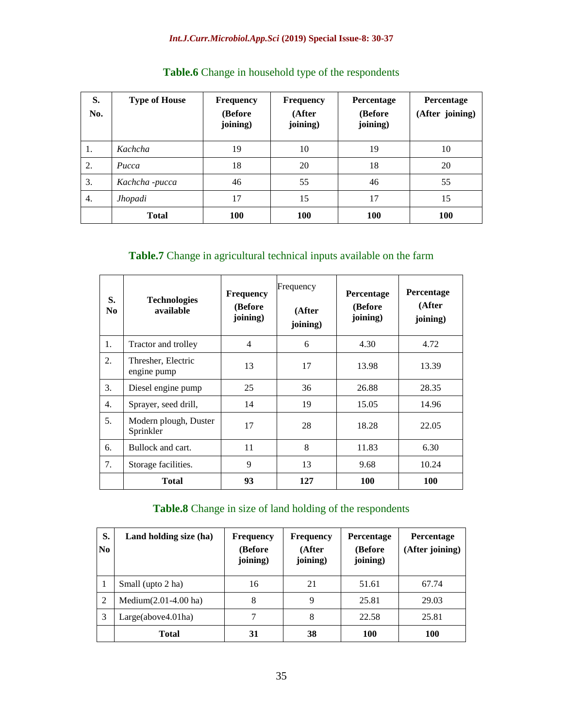#### *Int.J.Curr.Microbiol.App.Sci* **(2019) Special Issue-8: 30-37**

| S.<br>No. | <b>Type of House</b> | Frequency<br>(Before<br>joining) | <b>Frequency</b><br>(After<br>joining) | Percentage<br>(Before<br>joining) | Percentage<br>(After joining) |
|-----------|----------------------|----------------------------------|----------------------------------------|-----------------------------------|-------------------------------|
| 1.        | Kachcha              | 19                               | 10                                     | 19                                | 10                            |
| 2.        | Pucca                | 18                               | 20                                     | 18                                | 20                            |
| 3.        | Kachcha -pucca       | 46                               | 55                                     | 46                                | 55                            |
| 4.        | <b>Jhopadi</b>       | 17                               | 15                                     | 17                                | 15                            |
|           | <b>Total</b>         | 100                              | 100                                    | <b>100</b>                        | <b>100</b>                    |

# **Table.6** Change in household type of the respondents

## **Table.7** Change in agricultural technical inputs available on the farm

| S.<br>N <sub>0</sub> | <b>Technologies</b><br>available   | <b>Frequency</b><br>(Before)<br>joining) | Frequency<br>(After<br>joining) | Percentage<br>(Before<br>joining) | Percentage<br>(After<br>joining) |
|----------------------|------------------------------------|------------------------------------------|---------------------------------|-----------------------------------|----------------------------------|
| 1.                   | Tractor and trolley                | 4                                        | 6                               | 4.30                              | 4.72                             |
| 2.                   | Thresher, Electric<br>engine pump  | 13                                       | 17                              | 13.98                             | 13.39                            |
| 3.                   | Diesel engine pump                 | 25                                       | 36                              | 26.88                             | 28.35                            |
| 4.                   | Sprayer, seed drill,               | 14                                       | 19                              | 15.05                             | 14.96                            |
| 5.                   | Modern plough, Duster<br>Sprinkler | 17                                       | 28                              | 18.28                             | 22.05                            |
| 6.                   | Bullock and cart.                  | 11                                       | 8                               | 11.83                             | 6.30                             |
| 7.                   | Storage facilities.                | 9                                        | 13                              | 9.68                              | 10.24                            |
|                      | <b>Total</b>                       | 93                                       | 127                             | 100                               | 100                              |

## **Table.8** Change in size of land holding of the respondents

| S.<br>$\overline{\text{No}}$ | Land holding size (ha)   | <b>Frequency</b><br>(Before<br>joining) | <b>Frequency</b><br>(After<br>joining) | <b>Percentage</b><br>(Before<br>joining) | <b>Percentage</b><br>(After joining) |
|------------------------------|--------------------------|-----------------------------------------|----------------------------------------|------------------------------------------|--------------------------------------|
|                              | Small (upto 2 ha)        | 16                                      | 21                                     | 51.61                                    | 67.74                                |
| 2                            | Medium $(2.01-4.00)$ ha) | 8                                       | 9                                      | 25.81                                    | 29.03                                |
| 3                            | Large(above4.01ha)       | 7                                       | 8                                      | 22.58                                    | 25.81                                |
|                              | <b>Total</b>             | 31                                      | 38                                     | 100                                      | <b>100</b>                           |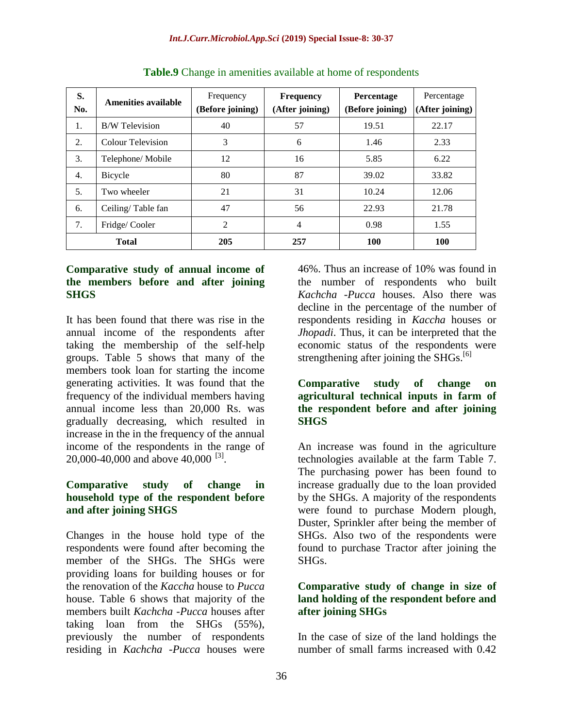| S.<br>No.    | Amenities available   | Frequency<br>(Before joining) | <b>Frequency</b><br>(After joining) | Percentage<br>(Before joining) | Percentage<br>(After joining) |
|--------------|-----------------------|-------------------------------|-------------------------------------|--------------------------------|-------------------------------|
| 1.           | <b>B/W</b> Television | 40                            | 57                                  | 19.51                          | 22.17                         |
| 2.           | Colour Television     | 3                             | 6                                   | 1.46                           | 2.33                          |
| 3.           | Telephone/ Mobile     | 12                            | 16                                  | 5.85                           | 6.22                          |
| 4.           | Bicycle               | 80                            | 87                                  | 39.02                          | 33.82                         |
| 5.           | Two wheeler           | 21                            | 31                                  | 10.24                          | 12.06                         |
| 6.           | Ceiling/Table fan     | 47                            | 56                                  | 22.93                          | 21.78                         |
| 7.           | Fridge/Cooler         | 2                             | $\overline{4}$                      | 0.98                           | 1.55                          |
| <b>Total</b> |                       | 205                           | 257                                 | <b>100</b>                     | <b>100</b>                    |

**Table.9** Change in amenities available at home of respondents

#### **Comparative study of annual income of the members before and after joining SHGS**

It has been found that there was rise in the annual income of the respondents after taking the membership of the self-help groups. Table 5 shows that many of the members took loan for starting the income generating activities. It was found that the frequency of the individual members having annual income less than 20,000 Rs. was gradually decreasing, which resulted in increase in the in the frequency of the annual income of the respondents in the range of 20,000-40,000 and above 40,000 <sup>[3]</sup>.

#### **Comparative study of change in household type of the respondent before and after joining SHGS**

Changes in the house hold type of the respondents were found after becoming the member of the SHGs. The SHGs were providing loans for building houses or for the renovation of the *Kaccha* house to *Pucca*  house. Table 6 shows that majority of the members built *Kachcha* -*Pucca* houses after taking loan from the SHGs (55%), previously the number of respondents residing in *Kachcha* -*Pucca* houses were

46%. Thus an increase of 10% was found in the number of respondents who built *Kachcha* -*Pucca* houses. Also there was decline in the percentage of the number of respondents residing in *Kaccha* houses or *Jhopadi*. Thus, it can be interpreted that the economic status of the respondents were strengthening after joining the  $SHGs$ <sup>[6]</sup>

#### **Comparative study of change on agricultural technical inputs in farm of the respondent before and after joining SHGS**

An increase was found in the agriculture technologies available at the farm Table 7. The purchasing power has been found to increase gradually due to the loan provided by the SHGs. A majority of the respondents were found to purchase Modern plough, Duster, Sprinkler after being the member of SHGs. Also two of the respondents were found to purchase Tractor after joining the SHGs.

## **Comparative study of change in size of land holding of the respondent before and after joining SHGs**

In the case of size of the land holdings the number of small farms increased with 0.42